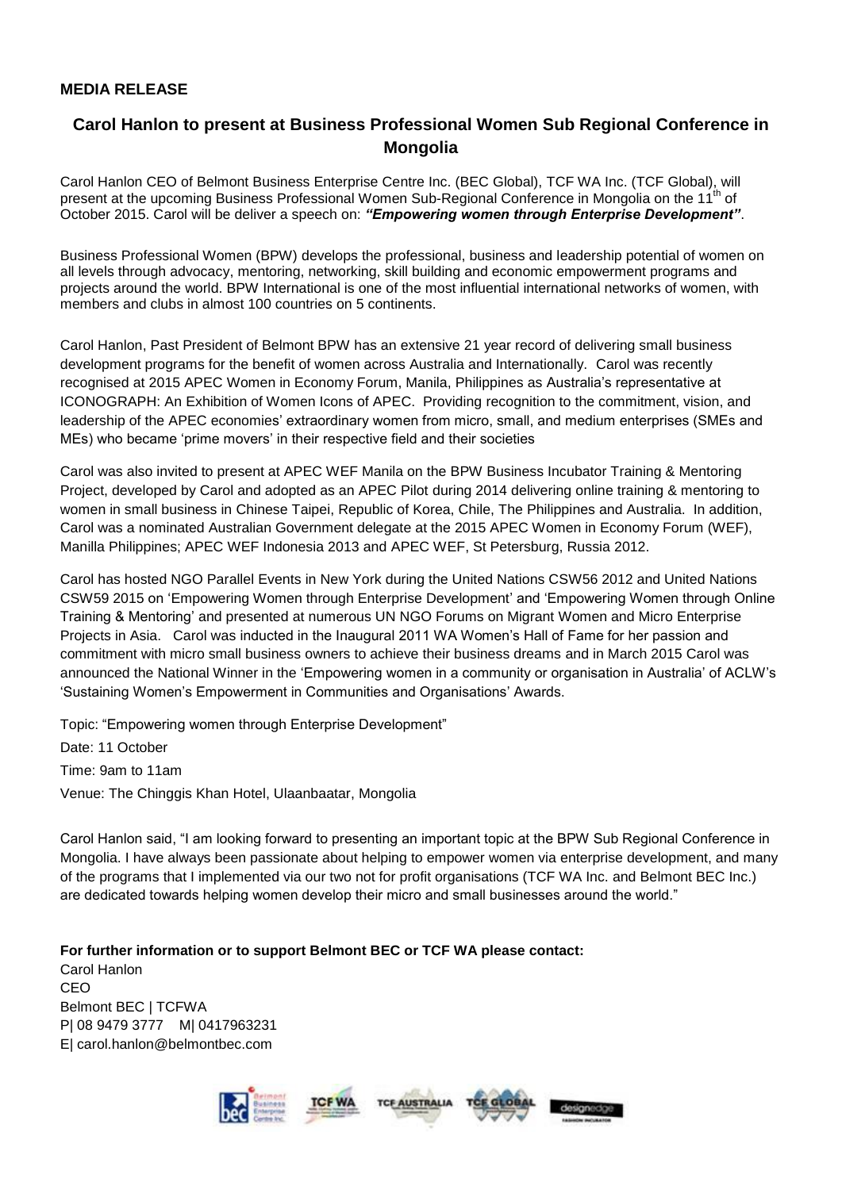## **MEDIA RELEASE**

## **Carol Hanlon to present at Business Professional Women Sub Regional Conference in Mongolia**

Carol Hanlon CEO of Belmont Business Enterprise Centre Inc. (BEC Global), TCF WA Inc. (TCF Global), will present at the upcoming Business Professional Women Sub-Regional Conference in Mongolia on the 11<sup>th</sup> of October 2015. Carol will be deliver a speech on: *"Empowering women through Enterprise Development"*.

Business Professional Women (BPW) develops the professional, business and leadership potential of women on all levels through advocacy, mentoring, networking, skill building and economic empowerment programs and projects around the world. BPW International is one of the most influential international networks of women, with members and clubs in almost 100 countries on 5 continents.

Carol Hanlon, Past President of Belmont BPW has an extensive 21 year record of delivering small business development programs for the benefit of women across Australia and Internationally. Carol was recently recognised at 2015 APEC Women in Economy Forum, Manila, Philippines as Australia's representative at ICONOGRAPH: An Exhibition of Women Icons of APEC. Providing recognition to the commitment, vision, and leadership of the APEC economies' extraordinary women from micro, small, and medium enterprises (SMEs and MEs) who became 'prime movers' in their respective field and their societies

Carol was also invited to present at APEC WEF Manila on the BPW Business Incubator Training & Mentoring Project, developed by Carol and adopted as an APEC Pilot during 2014 delivering online training & mentoring to women in small business in Chinese Taipei, Republic of Korea, Chile, The Philippines and Australia. In addition, Carol was a nominated Australian Government delegate at the 2015 APEC Women in Economy Forum (WEF), Manilla Philippines; APEC WEF Indonesia 2013 and APEC WEF, St Petersburg, Russia 2012.

Carol has hosted NGO Parallel Events in New York during the United Nations CSW56 2012 and United Nations CSW59 2015 on 'Empowering Women through Enterprise Development' and 'Empowering Women through Online Training & Mentoring' and presented at numerous UN NGO Forums on Migrant Women and Micro Enterprise Projects in Asia. Carol was inducted in the Inaugural 2011 WA Women's Hall of Fame for her passion and commitment with micro small business owners to achieve their business dreams and in March 2015 Carol was announced the National Winner in the 'Empowering women in a community or organisation in Australia' of ACLW's 'Sustaining Women's Empowerment in Communities and Organisations' Awards.

Topic: "Empowering women through Enterprise Development"

Date: 11 October

Time: 9am to 11am

Venue: The Chinggis Khan Hotel, Ulaanbaatar, Mongolia

Carol Hanlon said, "I am looking forward to presenting an important topic at the BPW Sub Regional Conference in Mongolia. I have always been passionate about helping to empower women via enterprise development, and many of the programs that I implemented via our two not for profit organisations (TCF WA Inc. and Belmont BEC Inc.) are dedicated towards helping women develop their micro and small businesses around the world."

**For further information or to support Belmont BEC or TCF WA please contact:** Carol Hanlon CEO Belmont BEC | TCFWA P| 08 9479 3777 M| 0417963231 E| carol.hanlon@belmontbec.com